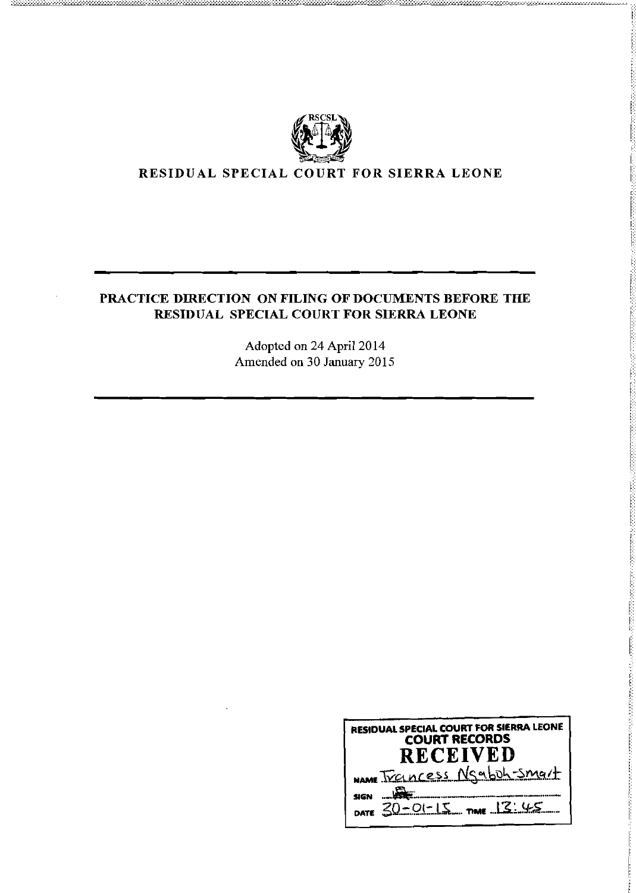

# PRACTICE DIRECTION ON FILING OF DOCUMENTS BEFORE THE RESIDUAL SPECIAL COURT FOR SIERRA LEONE

Adopted on 24 April 2014 Amended on 30 January 2015

| <b>RESIDUAL SPECIAL COURT FOR SIERRA LEONE</b><br><b>COURT RECORDS</b><br><b>RECEIVED</b> |  |  |
|-------------------------------------------------------------------------------------------|--|--|
| NAME TYPINCESS Ngabuh-smart                                                               |  |  |
| DATE 30-01-15 TIME 13:45                                                                  |  |  |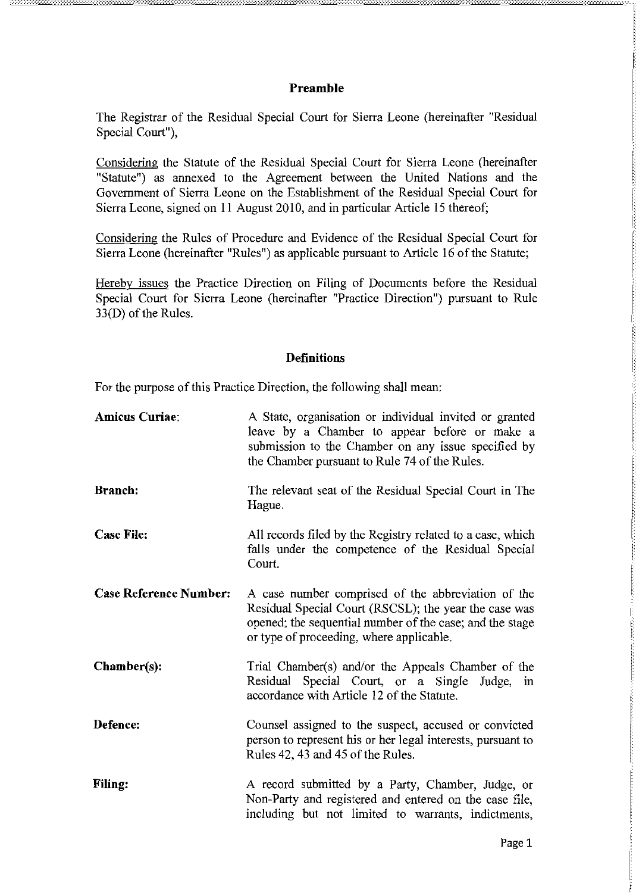## **Preamble**

The Registrar of the Residual Special Court for Sierra Leone (hereinafter "Residual Special Court"),

Considering the Statute of the Residual Special Court for Sierra Leone (hereinafter "Statute") as annexed to the Agreement between the United Nations and the Government of Sierra Leone on the Establishment of the Residual Special Court for Sierra Leone, signed on II August 2010, and in particular Article 15 thereof;

Considering the Rules of Procedure and Evidence of the Residual Special Court for Sierra Leone (hereinafter "Rules") as applicable pursuant to Article 16 of the Statute;

Hereby issues the Practice Direction on Filing of Documents before the Residual Special Court for Sierra Leone (hereinafter "Practice Direction") pursuant to Rule 33(D) of the Rules.

### **Definitions**

For the purpose of this Practice Direction, the following shall mean:

| <b>Amicus Curiae:</b>         | A State, organisation or individual invited or granted<br>leave by a Chamber to appear before or make a<br>submission to the Chamber on any issue specified by<br>the Chamber pursuant to Rule 74 of the Rules.     |
|-------------------------------|---------------------------------------------------------------------------------------------------------------------------------------------------------------------------------------------------------------------|
| <b>Branch:</b>                | The relevant seat of the Residual Special Court in The<br>Hague.                                                                                                                                                    |
| <b>Case File:</b>             | All records filed by the Registry related to a case, which<br>falls under the competence of the Residual Special<br>Court.                                                                                          |
| <b>Case Reference Number:</b> | A case number comprised of the abbreviation of the<br>Residual Special Court (RSCSL); the year the case was<br>opened; the sequential number of the case; and the stage<br>or type of proceeding, where applicable. |
| $Chamber(s):$                 | Trial Chamber(s) and/or the Appeals Chamber of the<br>Residual Special Court, or a Single Judge, in<br>accordance with Article 12 of the Statute.                                                                   |
| Defence:                      | Counsel assigned to the suspect, accused or convicted<br>person to represent his or her legal interests, pursuant to<br>Rules 42, 43 and 45 of the Rules.                                                           |
| <b>Filing:</b>                | A record submitted by a Party, Chamber, Judge, or<br>Non-Party and registered and entered on the case file,<br>including but not limited to warrants, indictments,                                                  |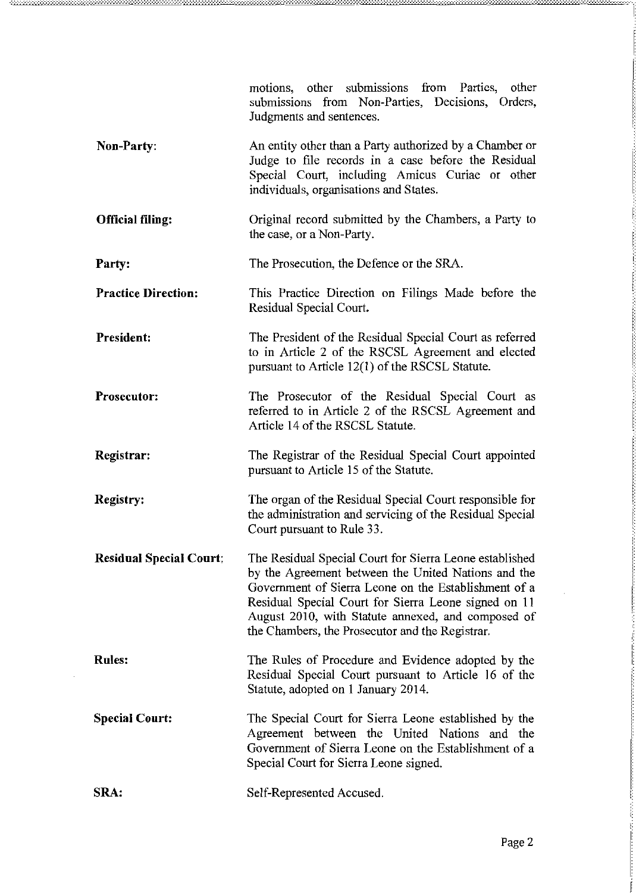|                                | motions, other submissions from Parties, other<br>submissions from Non-Parties, Decisions, Orders,<br>Judgments and sentences.                                                                                                                                                                                                          |
|--------------------------------|-----------------------------------------------------------------------------------------------------------------------------------------------------------------------------------------------------------------------------------------------------------------------------------------------------------------------------------------|
| <b>Non-Party:</b>              | An entity other than a Party authorized by a Chamber or<br>Judge to file records in a case before the Residual<br>Special Court, including Amicus Curiae or other<br>individuals, organisations and States.                                                                                                                             |
| <b>Official filing:</b>        | Original record submitted by the Chambers, a Party to<br>the case, or a Non-Party.                                                                                                                                                                                                                                                      |
| Party:                         | The Prosecution, the Defence or the SRA.                                                                                                                                                                                                                                                                                                |
| <b>Practice Direction:</b>     | This Practice Direction on Filings Made before the<br>Residual Special Court.                                                                                                                                                                                                                                                           |
| President:                     | The President of the Residual Special Court as referred<br>to in Article 2 of the RSCSL Agreement and elected<br>pursuant to Article $12(1)$ of the RSCSL Statute.                                                                                                                                                                      |
| Prosecutor:                    | The Prosecutor of the Residual Special Court as<br>referred to in Article 2 of the RSCSL Agreement and<br>Article 14 of the RSCSL Statute.                                                                                                                                                                                              |
| Registrar:                     | The Registrar of the Residual Special Court appointed<br>pursuant to Article 15 of the Statute.                                                                                                                                                                                                                                         |
| <b>Registry:</b>               | The organ of the Residual Special Court responsible for<br>the administration and servicing of the Residual Special<br>Court pursuant to Rule 33.                                                                                                                                                                                       |
| <b>Residual Special Court:</b> | The Residual Special Court for Sierra Leone established<br>by the Agreement between the United Nations and the<br>Government of Sierra Leone on the Establishment of a<br>Residual Special Court for Sierra Leone signed on 11<br>August 2010, with Statute annexed, and composed of<br>the Chambers, the Prosecutor and the Registrar. |
| <b>Rules:</b>                  | The Rules of Procedure and Evidence adopted by the<br>Residual Special Court pursuant to Article 16 of the<br>Statute, adopted on 1 January 2014.                                                                                                                                                                                       |
| <b>Special Court:</b>          | The Special Court for Sierra Leone established by the<br>Agreement between the United Nations and the<br>Government of Sierra Leone on the Establishment of a<br>Special Court for Sierra Leone signed.                                                                                                                                 |
| SRA:                           | Self-Represented Accused.                                                                                                                                                                                                                                                                                                               |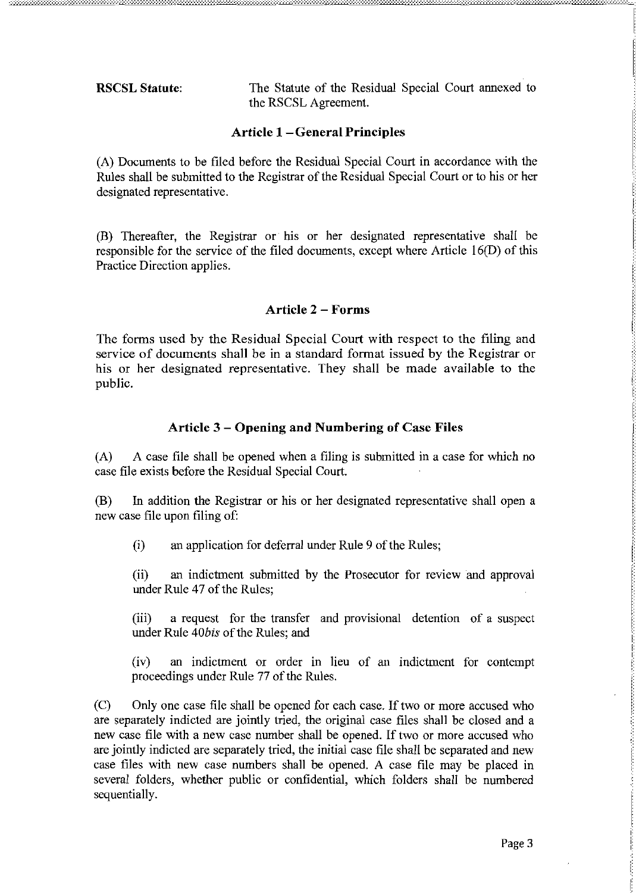The Statute of the Residual Special Court annexed to **RSCSL Statute:** the RSCSL Agreement.

## **Article 1-General Principles**

(A) Documents to be filed before the Residual Special Court in accordance with the Rules shall be submitted to the Registrar of the Residual Special Court or to his or her designated representative.

(B) Thereafter, the Registrar or his or her designated representative shall be responsible for the service of the filed documents, except where Article 16(D) of this Practice Direction applies.

## **Article 2 – Forms**

The forms used by the Residual Special Court with respect to the filing and service of documents shall be in a standard format issued by the Registrar or his or her designated representative. They shall be made available to the public.

# Article 3 - Opening and Numbering of Case Files

A case file shall be opened when a filing is submitted in a case for which no  $(A)$ case file exists before the Residual Special Court.

In addition the Registrar or his or her designated representative shall open a (B) new case file upon filing of:

 $(i)$ an application for deferral under Rule 9 of the Rules;

 $(ii)$ an indictment submitted by the Prosecutor for review and approval under Rule 47 of the Rules;

a request for the transfer and provisional detention of a suspect  $(iii)$ under Rule 40bis of the Rules; and

an indictment or order in lieu of an indictment for contempt  $(iv)$ proceedings under Rule 77 of the Rules.

 $(C)$ Only one case file shall be opened for each case. If two or more accused who are separately indicted are jointly tried, the original case files shall be closed and a new case file with a new case number shall be opened. If two or more accused who are jointly indicted are separately tried, the initial case file shall be separated and new case files with new case numbers shall be opened. A case file may be placed in several folders, whether public or confidential, which folders shall be numbered sequentially.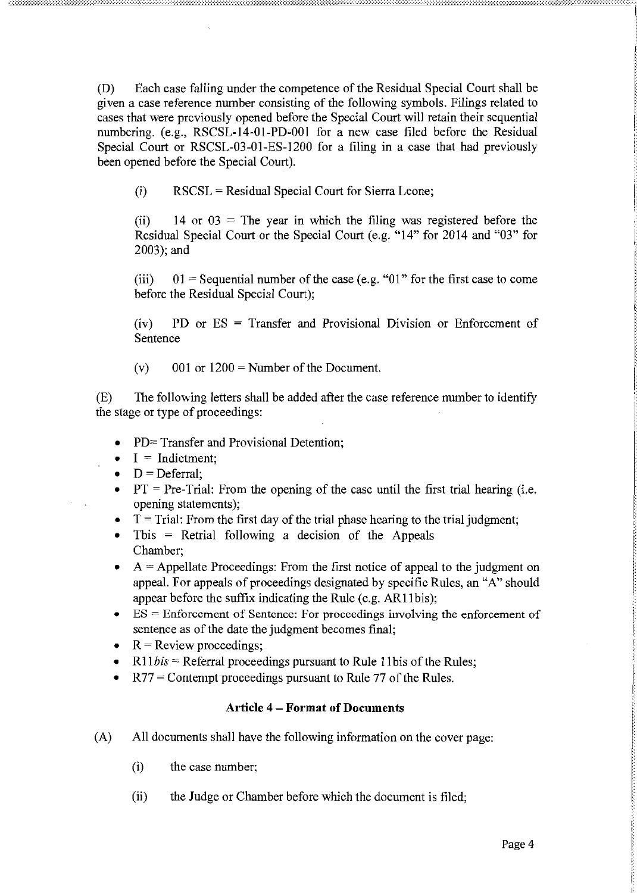(D) Each case falling under the competence of the Residual Special Court shall be given a case reference number consisting of the following symbols. Filings related to cases that were previously opened before the Special Court will retain their sequential numbering. (e.g., RSCSL-14-01-PD-001 for a new case filed before the Residual Special Court or RSCSL-03-01-ES-1200 for a filing in a case that had previously been opened before the Special Court).

(i) RSCSL = Residual Special Court for Sierra Leone;

(ii) 14 or  $03 =$ The year in which the filing was registered before the Residual Special Court or the Special Court (e.g. "14" for 2014 and "03" for 2003); and

(iii)  $01 =$  Sequential number of the case (e.g. "01" for the first case to come before the Residual Special Court);

(iv) PD or ES = Transfer and Provisional Division or Enforcement of Sentence

(v)  $001$  or  $1200$  = Number of the Document.

(E) The following letters shall be added after the case reference number to identify the stage or type of proceedings:

- $PD = Transfer$  and Provisional Detention;
- $\bullet$  I = Indictment:
- $D = Deferral;$
- $PT = Pre-Trial$ : From the opening of the case until the first trial hearing (i.e. opening statements);
- $T =$ Trial: From the first day of the trial phase hearing to the trial judgment;
- Tbis  $=$  Retrial following a decision of the Appeals Chamber;
- $A =$  Appellate Proceedings: From the first notice of appeal to the judgment on appeal. For appeals of proceedings designated by specific Rules, an "A" should appear before the suffix indicating the Rule (e.g. AR11bis);
- $ES = Entor cement$  of Sentence: For proceedings involving the enforcement of sentence as of the date the judgment becomes final;
- $R =$  Review proceedings;
- $R11bis = Ref.$  Proceedings pursuant to Rule 11bis of the Rules;
- $R77$  = Contempt proceedings pursuant to Rule 77 of the Rules.

## **Article 4 - Format of Documents**

- (A) All documents shall have the following information on the cover page:
	- (i) the case number;
	- (ii) the Judge or Chamber before which the document is filed;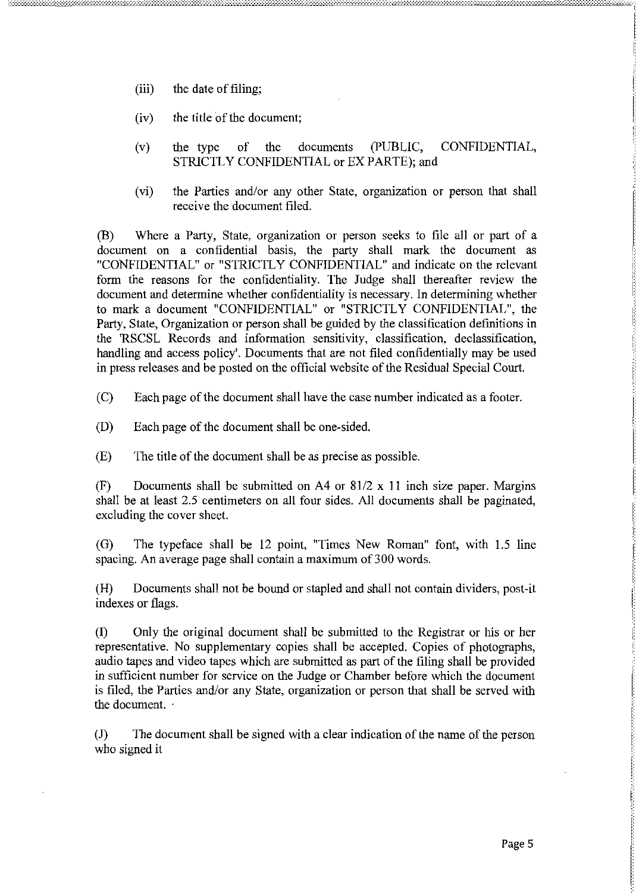- the date of filing:  $(iii)$
- $(iv)$ the title of the document:
- $\sigma$ f documents (PUBLIC, CONFIDENTIAL.  $(v)$ the type the STRICTLY CONFIDENTIAL or EX PARTE); and
- $(vi)$ the Parties and/or any other State, organization or person that shall receive the document filed.

 $(B)$ Where a Party, State, organization or person seeks to file all or part of a document on a confidential basis, the party shall mark the document as "CONFIDENTIAL" or "STRICTLY CONFIDENTIAL" and indicate on the relevant form the reasons for the confidentiality. The Judge shall thereafter review the document and determine whether confidentiality is necessary. In determining whether to mark a document "CONFIDENTIAL" or "STRICTLY CONFIDENTIAL", the Party, State, Organization or person shall be guided by the classification definitions in the 'RSCSL Records and information sensitivity, classification, declassification, handling and access policy'. Documents that are not filed confidentially may be used in press releases and be posted on the official website of the Residual Special Court.

 $(C)$ Each page of the document shall have the case number indicated as a footer.

- $(D)$ Each page of the document shall be one-sided.
- $(E)$ The title of the document shall be as precise as possible.

 $(F)$ Documents shall be submitted on A4 or  $81/2 \times 11$  inch size paper. Margins shall be at least 2.5 centimeters on all four sides. All documents shall be paginated, excluding the cover sheet.

The typeface shall be 12 point, "Times New Roman" font, with 1.5 line  $(G)$ spacing. An average page shall contain a maximum of 300 words.

Documents shall not be bound or stapled and shall not contain dividers, post-it  $(H)$ indexes or flags.

 $(I)$ Only the original document shall be submitted to the Registrar or his or her representative. No supplementary copies shall be accepted. Copies of photographs, audio tapes and video tapes which are submitted as part of the filing shall be provided in sufficient number for service on the Judge or Chamber before which the document is filed, the Parties and/or any State, organization or person that shall be served with the document.

 $(J)$ The document shall be signed with a clear indication of the name of the person who signed it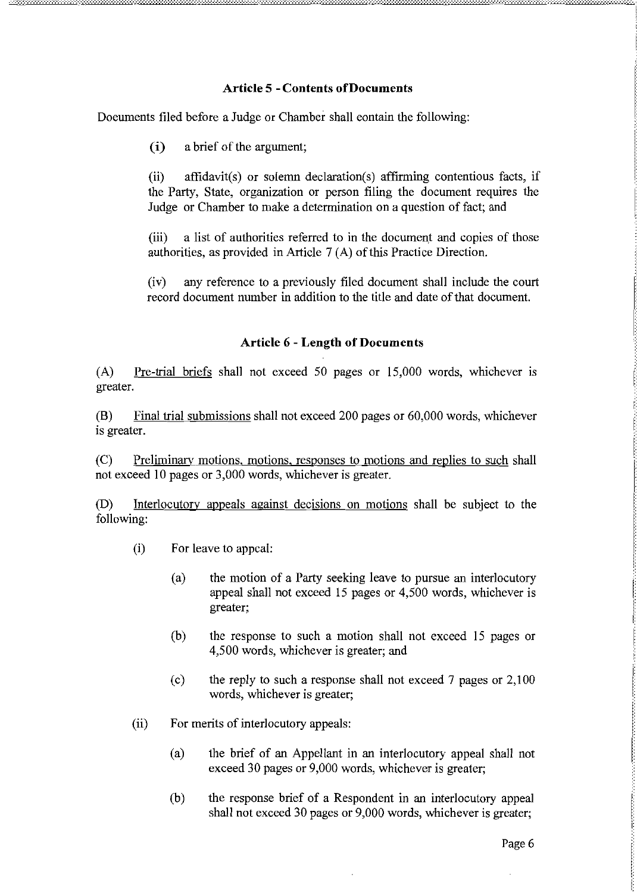## **Article 5 - Contents of Documents**

Doeuments filed before a Judge or Chamber shall eontain the following:

 $(i)$ a brief of the argument:

 $(ii)$ affidavit(s) or solemn declaration(s) affirming contentious facts, if the Party, State, organization or person filing the document requires the Judge or Chamber to make a determination on a question of fact; and

 $(iii)$ a list of authorities referred to in the document and copies of those authorities, as provided in Article 7(A) of this Practice Direction.

 $(iv)$ any reference to a previously filed document shall include the court record document number in addition to the title and date of that document.

## **Article 6 - Length of Documents**

Pre-trial briefs shall not exceed 50 pages or 15,000 words, whichever is  $(A)$ greater.

 $(B)$ Final trial submissions shall not exceed 200 pages or 60,000 words, whichever is greater.

 $(C)$ Preliminary motions, motions, responses to motions and replies to such shall not exceed 10 pages or 3,000 words, whichever is greater.

(D) Interlocutory appeals against decisions on motions shall be subject to the following:

- $(i)$ For leave to appeal:
	- the motion of a Party seeking leave to pursue an interlocutory  $(a)$ appeal shall not exceed 15 pages or 4,500 words, whichever is greater:
	- $(b)$ the response to such a motion shall not exceed 15 pages or 4,500 words, whichever is greater; and
	- the reply to such a response shall not exceed 7 pages or 2,100  $(c)$ words, whichever is greater;
- $(ii)$ For merits of interlocutory appeals:
	- the brief of an Appellant in an interlocutory appeal shall not  $(a)$ exceed 30 pages or 9,000 words, whichever is greater;
	- $(b)$ the response brief of a Respondent in an interlocutory appeal shall not exceed 30 pages or 9,000 words, whichever is greater;

l,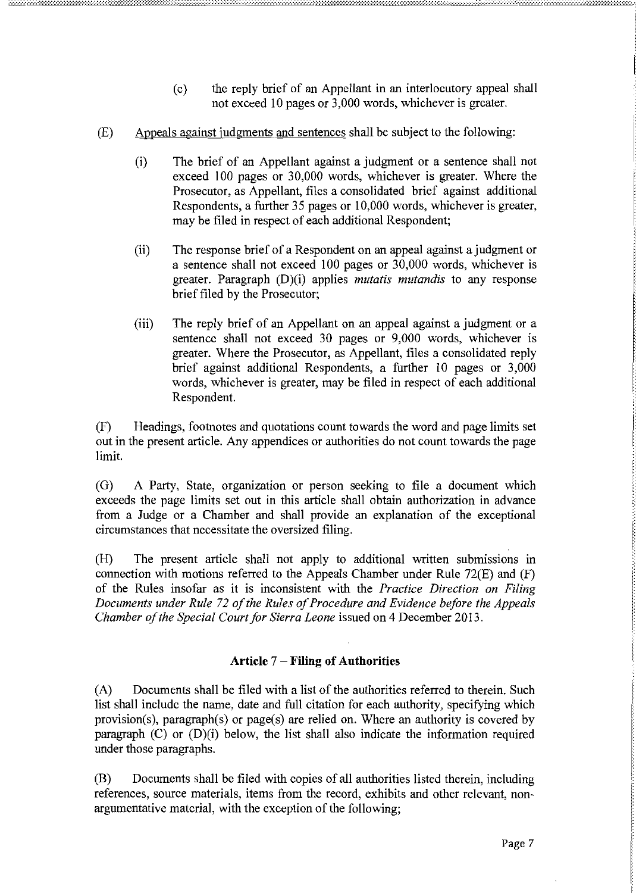- the reply brief of an Appellant in an interlocutory appeal shall  $(c)$ not exceed 10 pages or 3,000 words, whichever is greater.
- $(E)$ Appeals against judgments and sentences shall be subject to the following:
	- $(i)$ The brief of an Appellant against a judgment or a sentence shall not exceed 100 pages or 30,000 words, whichever is greater. Where the Prosecutor, as Appellant, files a consolidated brief against additional Respondents, a further 35 pages or 10,000 words, whichever is greater, may be filed in respect of each additional Respondent;
	- $(ii)$ The response brief of a Respondent on an appeal against a judgment or a sentence shall not exceed 100 pages or 30,000 words, whichever is greater. Paragraph (D)(i) applies mutatis mutandis to any response brief filed by the Prosecutor;
	- The reply brief of an Appellant on an appeal against a judgment or a  $(iii)$ sentence shall not exceed 30 pages or 9,000 words, whichever is greater. Where the Prosecutor, as Appellant, files a consolidated reply brief against additional Respondents, a further 10 pages or 3,000 words, whichever is greater, may be filed in respect of each additional Respondent.

Headings, footnotes and quotations count towards the word and page limits set  $(F)$ out in the present article. Any appendices or authorities do not count towards the page limit.

A Party, State, organization or person seeking to file a document which  $(G)$ exceeds the page limits set out in this article shall obtain authorization in advance from a Judge or a Chamber and shall provide an explanation of the exceptional circumstances that necessitate the oversized filing.

 $(H)$ The present article shall not apply to additional written submissions in connection with motions referred to the Appeals Chamber under Rule 72(E) and (F) of the Rules insofar as it is inconsistent with the Practice Direction on Filing Documents under Rule 72 of the Rules of Procedure and Evidence before the Appeals Chamber of the Special Court for Sierra Leone issued on 4 December 2013.

# Article 7 - Filing of Authorities

 $(A)$ Documents shall be filed with a list of the authorities referred to therein. Such list shall include the name, date and full citation for each authority, specifying which provision(s), paragraph(s) or page(s) are relied on. Where an authority is covered by paragraph  $(C)$  or  $(D)(i)$  below, the list shall also indicate the information required under those paragraphs.

(B) Documents shall be filed with copies of all authorities listed therein, including references, source materials, items from the record, exhibits and other relevant, nonargumentative material, with the exception of the following;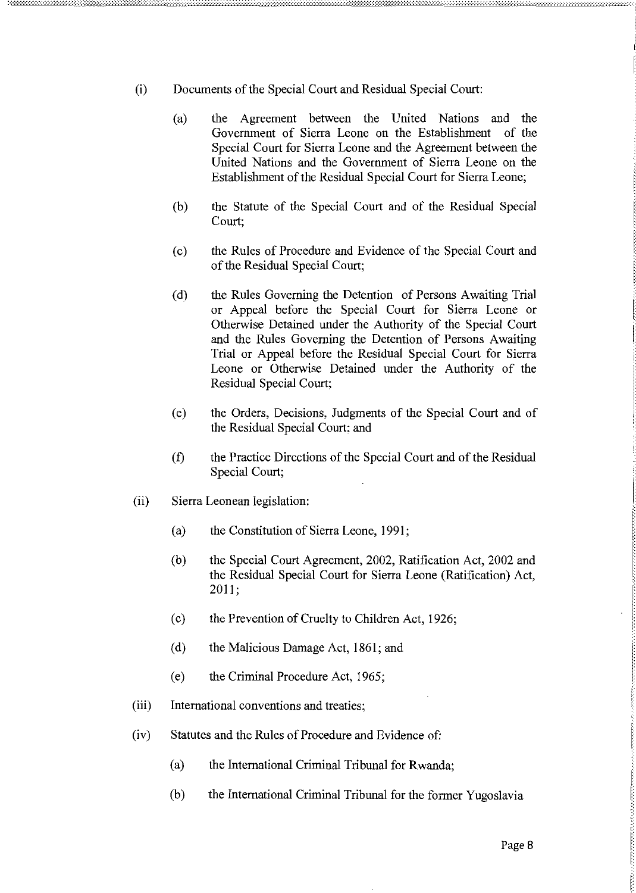- Documents of the Special Court and Residual Special Court:  $(i)$ 
	- the Agreement between the United Nations and the  $(a)$ Government of Sierra Leone on the Establishment of the Special Court for Sierra Leone and the Agreement between the United Nations and the Government of Sierra Leone on the Establishment of the Residual Special Court for Sierra Leone;
	- the Statute of the Special Court and of the Residual Special (b) Court;
	- the Rules of Procedure and Evidence of the Special Court and  $(c)$ of the Residual Special Court:
	- the Rules Governing the Detention of Persons Awaiting Trial  $(d)$ or Appeal before the Special Court for Sierra Leone or Otherwise Detained under the Authority of the Special Court and the Rules Governing the Detention of Persons Awaiting Trial or Appeal before the Residual Special Court for Sierra Leone or Otherwise Detained under the Authority of the Residual Special Court;
	- the Orders, Decisions, Judgments of the Special Court and of  $(e)$ the Residual Special Court; and
	- $(f)$ the Practice Directions of the Special Court and of the Residual Special Court;
- $(ii)$ Sierra Leonean legislation:
	- $(a)$ the Constitution of Sierra Leone, 1991;
	- $(b)$ the Special Court Agreement, 2002, Ratification Act, 2002 and the Residual Special Court for Sierra Leone (Ratification) Act, 2011;
	- the Prevention of Cruelty to Children Act, 1926;  $(c)$
	- $(d)$ the Malicious Damage Act, 1861; and
	- $(e)$ the Criminal Procedure Act, 1965;
- $(iii)$ International conventions and treaties;
- $(iv)$ Statutes and the Rules of Procedure and Evidence of:
	- $(a)$ the International Criminal Tribunal for Rwanda:
	- $(b)$ the International Criminal Tribunal for the former Yugoslavia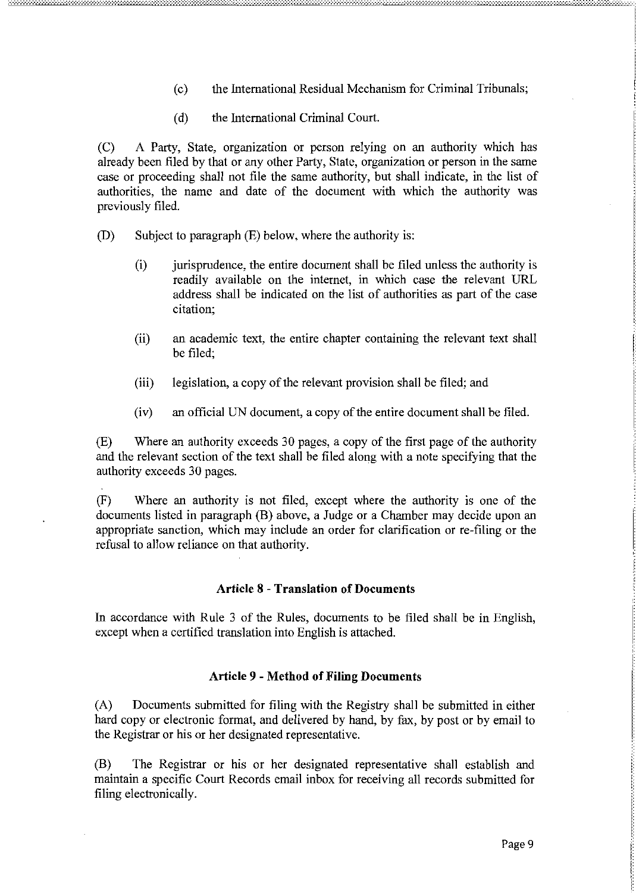- (c) the International Residual Mechanism for Criminal Tribunals;
- (d) the International Criminal Court.

(C) A Party, State, organization or person relying on an authority which has already been filed by that or any other Party, State, organization or person in the same case or proceeding shall not file the same authority, but shall indicate, in the list of authorities, the name and date of the document with which the authority was previously filed.

- (D) Subject to paragraph (E) below, where the authority is:
	- (i) jurisprudence, the entire document shall be filed unless the authority is readily available on the internet, in which case the relevant URL address shall be indicated on the list of authorities as part of the case citation;
	- (ii) an academic text, the entire chapter containing the relevant text shall be filed;
	- (iii) legislation, a copy of the relevant provision shall be filed; and
	- $(iv)$  an official UN document, a copy of the entire document shall be filed.

(E) Where an authority exceeds 30 pages, a copy of the first page of the authority and the relevant section of the text shall be filed along with a note specifying that the authority exceeds 30 pages.

(F) Where an authority is not filed, except where the authority is one of the documents listed in paragraph (B) above, a Judge or a Chamber may decide upon an appropriate sanction, which may include an order for clarification or re-filing or the refusal to allow reliance on that authority.

#### Article 8 - Translation of Documents

In accordance with Rule 3 of the Rules, documents to be filed shall be in English, except when a certified translation into English is attached.

#### Article 9 - Method of Filing Documents

(A) Documents submitted for filing with the Registry shall be submitted in either hard copy or electronic format, and delivered by hand, by fax, by post or by email to the Registrar or his or her designated representative.

(B) The Registrar or his or her designated representative shall establish and maintain a specific Court Records email inbox for receiving all records submitted for filing electronically.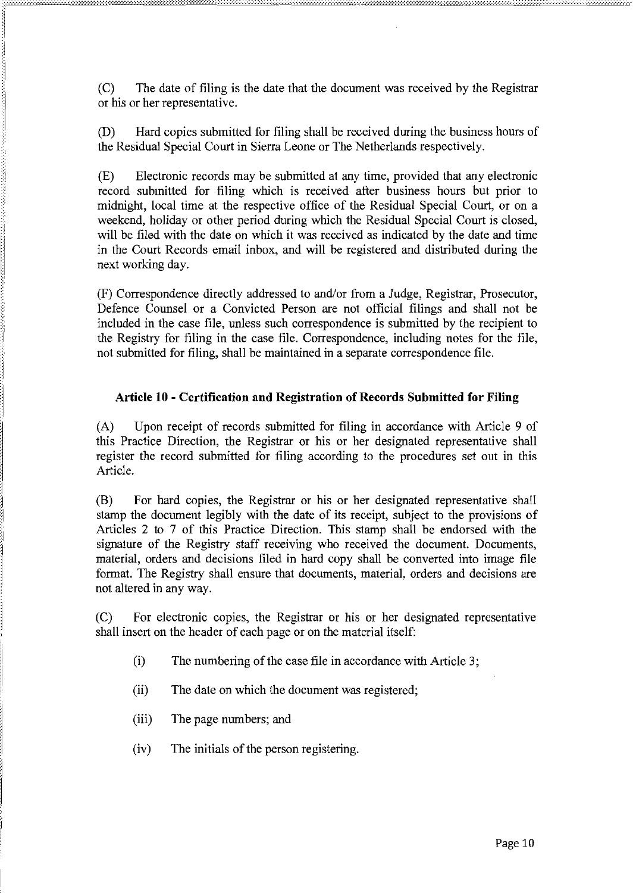(C) The date of filing is the date that the document was received by the Registrar or his or her representative.

(D) Hard copies submitted for filing shall be received during the business hours of the Residual Special Court in Sierra Leone or The Netherlands respectively.

(E) Electronic records may be submitted at any time, provided that any electronic record submitted for filing which is received after business hours but prior to midnight, local time at the respective office of the Residual Special Court, or on a weekend, holiday or other period during which the Residual Special Court is closed, will be filed with the date on which it was received as indicated by the date and time in the Court Records email inbox, and will be registered and distributed during the next working day.

(F) Correspondence directly addressed to and/or from a Judge, Registrar, Prosecutor, Defence Counsel or a Convicted Person are not official filings and shall not be included in the case file, unless such correspondence is submitted by the recipient to the Registry for filing in the case file. Correspondence, including notes for the file, not submitted for filing, shall be maintained in a separate correspondence file.

# **Article 10 - Certification and Registration of Records Submitted for Filing**

(A) Upon receipt of records submitted for filing in accordance with Article 9 of this Practice Direction, the Registrar or his or her designated representative shall register the record submitted for tiling according to the procedures set out in this Article.

(B) For hard copies, the Registrar or his or her designated representative shall stamp the document legibly with the date of its receipt, subject to the provisions of Articles 2 to 7 of this Practice Direction. This stamp shall be endorsed with the signature of the Registry staff receiving who received the document. Documents, material, orders and decisions filed in hard copy shall be converted into image file format. The Registry shall ensure that documents, material, orders and decisions are not altered in any way.

(C) For electronic copies, the Registrar or his or her designated representative shall insert on the header of each page or on the material itself:

- (i) The numbering of the case file in accordance with Article 3;
- (ii) The date on which the document was registered;
- (iii) The page numbers; and
- (iv) The initials of the person registering.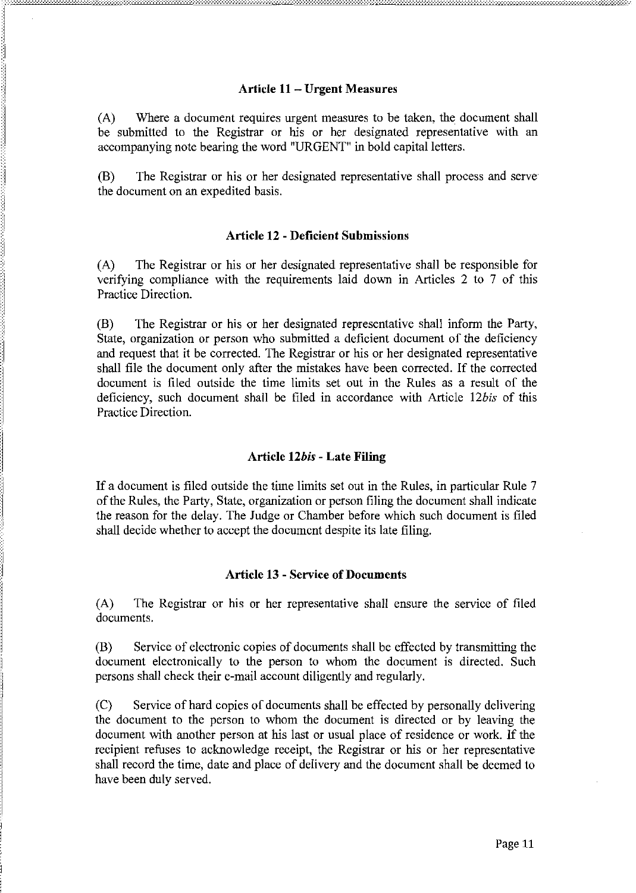### Article 11 - Urgent Measures

(A) Where a document requires urgent measures to be taken, the document shall be submitted to the Registrar or his or her designated representative with an accompanying note bearing the word "URGENT" in bold capital letters.

(B) The Registrar or his or her designated representative shall process and serve the document on an expedited basis.

### Article 12 - Deficient Submissions

(A) The Registrar or his or her designated representative shall be responsible for verifying compliance with the requirements laid down in Articles 2 to 7 of this Practice Direction.

(B) The Registrar or his or her designated representative shall inform the Party, State, organization or person who submitted a deficient document of the deficiency and request that it be corrected. The Registrar or his or her designated representative shall file the document only after the mistakes have been corrected. If the corrected document is tiled outside the time limits set out in the Rules as a result of the deficiency, such document shall be filed in accordance with Article *12bis* of this Practice Direction.

## Article *12bis* - Late Filing

If a document is filed outside the time limits set out in the Rules, in particular Rule 7 ofthe Rules, the Party, State, organization or person filing the document shall indicate the reason for the delay. The Judge or Chamber before which such document is filed shall decide whether to accept the document despite its late filing.

#### Article 13 - Service of Documents

(A) The Registrar or his or her representative shall ensure the service of filed documents.

(B) Service of electronic copies of documents shall be effected by transmitting the document electronically to the person to whom the document is directed. Such persons shall check their e-mail account diligently and regularly.

(C) Service of hard copies of documents shall be effected by personally delivering the document to the person to whom the document is directed or by leaving the document with another person at his last or usual place of residence or work. If the recipient refuses to acknowledge receipt, the Registrar or his or her representative shall record the time, date and place of delivery and the document shall be deemed to have been duly served.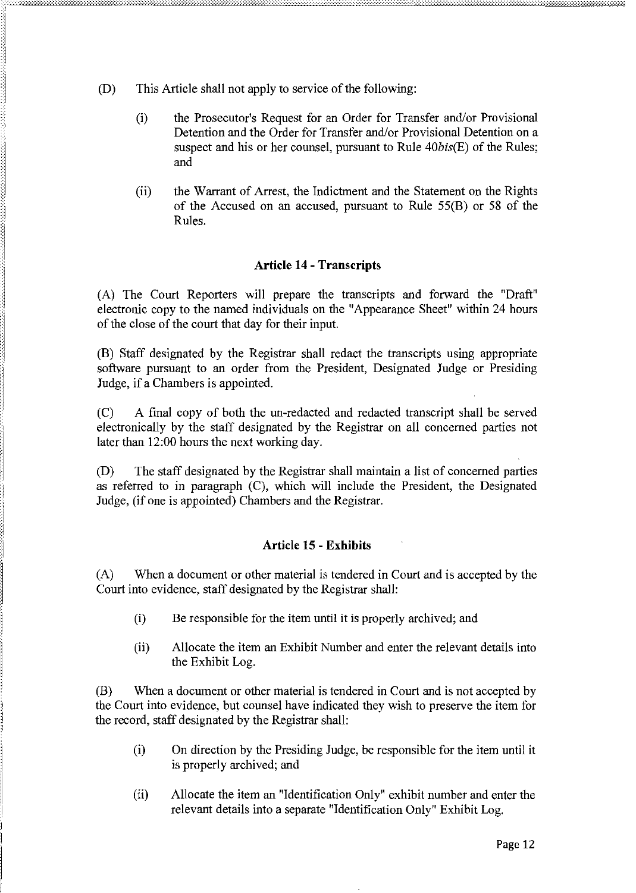- $(D)$ This Article shall not apply to service of the following:
	- $(i)$ the Prosecutor's Request for an Order for Transfer and/or Provisional Detention and the Order for Transfer and/or Provisional Detention on a suspect and his or her counsel, pursuant to Rule 40bis(E) of the Rules; and
	- $(ii)$ the Warrant of Arrest, the Indictment and the Statement on the Rights of the Accused on an accused, pursuant to Rule 55(B) or 58 of the Rules.

## **Article 14 - Transcripts**

(A) The Court Reporters will prepare the transcripts and forward the "Draft" electronic copy to the named individuals on the "Appearance Sheet" within 24 hours of the close of the court that day for their input.

(B) Staff designated by the Registrar shall redact the transcripts using appropriate software pursuant to an order from the President, Designated Judge or Presiding Judge, if a Chambers is appointed.

 $(C)$ A final copy of both the un-redacted and redacted transcript shall be served electronically by the staff designated by the Registrar on all concerned parties not later than 12:00 hours the next working day.

The staff designated by the Registrar shall maintain a list of concerned parties (D) as referred to in paragraph (C), which will include the President, the Designated Judge, (if one is appointed) Chambers and the Registrar.

## **Article 15 - Exhibits**

When a document or other material is tendered in Court and is accepted by the  $(A)$ Court into evidence, staff designated by the Registrar shall:

- $(i)$ Be responsible for the item until it is properly archived; and
- Allocate the item an Exhibit Number and enter the relevant details into  $(ii)$ the Exhibit Log.

When a document or other material is tendered in Court and is not accepted by (B) the Court into evidence, but counsel have indicated they wish to preserve the item for the record, staff designated by the Registrar shall:

- On direction by the Presiding Judge, be responsible for the item until it  $(i)$ is properly archived; and
- Allocate the item an "Identification Only" exhibit number and enter the  $(ii)$ relevant details into a separate "Identification Only" Exhibit Log.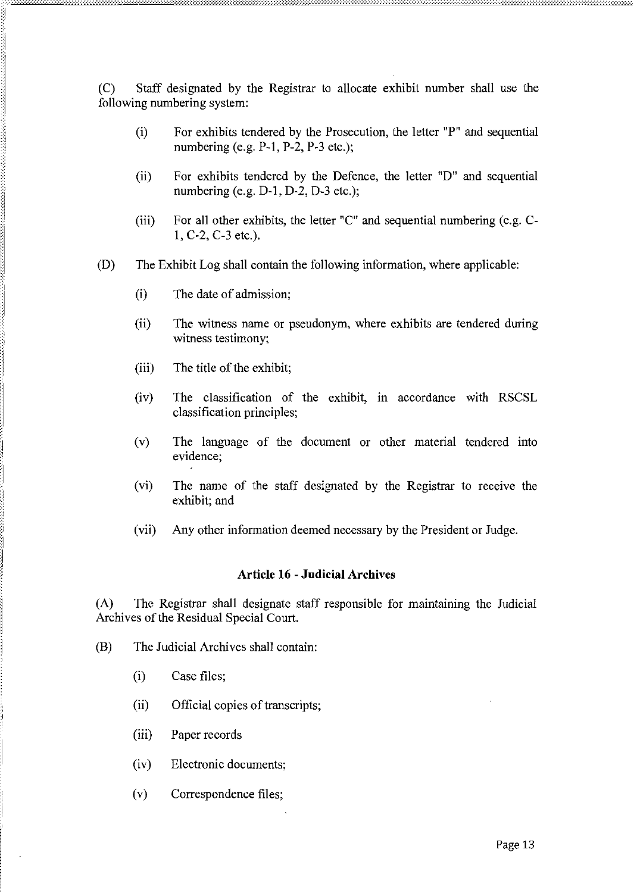(C) Staff designated by the Registrar to allocate exhibit number shall use the following numbering system:

- (i) For exhibits tendered by the Prosecution, the letter "P" and sequential numbering (e.g.  $P-1$ ,  $P-2$ ,  $P-3$  etc.);
- (ii) For exhibits tendered by the Defence, the letter "D" and sequential numbering (e.g. D-I, D-2, D-3 etc.);
- (iii) For all other exhibits, the letter "C" and sequential numbering (e.g. C-1, C-2, C-3 etc.).
- (D) The Exhibit Log shall contain the following information, where applicable:
	- (i) The date of admission;
	- (ii) The witness name or pseudonym, where exhibits are tendered during witness testimony;
	- $(iii)$  The title of the exhibit;
	- (iv) The classification of the exhibit, in accordance with RSCSL classification principles;
	- (v) The language of the document or other material tendered into evidence;
	- (vi) The name of the staff designated by the Registrar to receive the exhibit; and
	- (vii) Any other information deemed necessary by the President or Judge.

#### **Article 16** - Judicial Archives

(A) The Registrar shall designate staff responsible for maintaining the Judicial Archives of the Residual Special Court.

- (B) The Judicial Archives shall contain:
	- (i) Case files;
	- (ii) Official copies of transcripts;
	- (iii) Paper records
	- (iv) Electronic documents;
	- (v) Correspondence files;